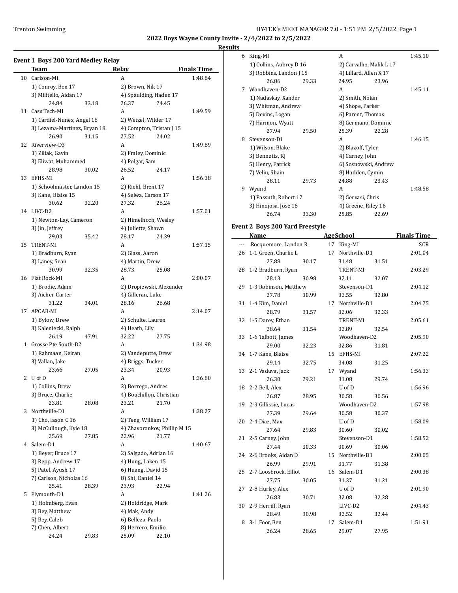### **Results**

|    | <b>Event 1 Boys 200 Yard Medley Relay</b> |       |                          |                              |                    |
|----|-------------------------------------------|-------|--------------------------|------------------------------|--------------------|
|    | Team                                      |       | Relay                    |                              | <b>Finals Time</b> |
|    | 10 Carlson-MI                             |       | A                        |                              | 1:48.84            |
|    | 1) Conroy, Ben 17                         |       | 2) Brown, Nik 17         |                              |                    |
|    | 3) Militello, Aidan 17                    |       |                          | 4) Spaulding, Haden 17       |                    |
|    | 24.84                                     | 33.18 | 26.37                    | 24.45                        |                    |
| 11 | Cass Tech-MI                              |       | A                        |                              | 1:49.59            |
|    | 1) Cardiel-Nunez, Angel 16                |       |                          | 2) Wetzel, Wilder 17         |                    |
|    | 3) Lezama-Martinez, Bryan 18              |       |                          | 4) Compton, Tristan J 15     |                    |
|    | 26.90                                     | 31.15 | 27.52                    | 24.02                        |                    |
| 12 | Riverview-D3                              |       | A                        |                              | 1:49.69            |
|    | 1) Ziliak, Gavin                          |       | 2) Fraley, Dominic       |                              |                    |
|    | 3) Eliwat, Muhammed                       |       | 4) Polgar, Sam           |                              |                    |
|    | 28.98                                     | 30.02 | 26.52                    | 24.17                        |                    |
| 13 | EFHS-MI                                   |       | A                        |                              | 1:56.38            |
|    | 1) Schoolmaster, Landon 15                |       | 2) Riehl, Brent 17       |                              |                    |
|    | 3) Kane, Blaise 15                        |       | 4) Selwa, Carson 17      |                              |                    |
|    | 30.62                                     | 32.20 | 27.32                    | 26.24                        |                    |
|    | 14 LIVC-D2                                |       | A                        |                              |                    |
|    |                                           |       |                          |                              | 1:57.01            |
|    | 1) Newton-Lay, Cameron                    |       | 2) Himelhoch, Wesley     |                              |                    |
|    | 3) Jin, Jeffrey                           |       | 4) Juliette, Shawn       |                              |                    |
|    | 29.03                                     | 35.42 | 28.17                    | 24.39                        |                    |
| 15 | <b>TRENT-MI</b>                           |       | A                        |                              | 1:57.15            |
|    | 1) Bradburn, Ryan                         |       | 2) Glass, Aaron          |                              |                    |
|    | 3) Laney, Sean                            |       | 4) Martin, Drew          |                              |                    |
|    | 30.99                                     | 32.35 | 28.73                    | 25.08                        |                    |
| 16 | Flat Rock-MI                              |       | A                        |                              | 2:00.07            |
|    | 1) Brodie, Adam                           |       |                          | 2) Dropiewski, Alexander     |                    |
|    | 3) Aicher, Carter                         |       | 4) Gilleran, Luke        |                              |                    |
|    | 31.22                                     | 34.01 | 28.16                    | 26.68                        |                    |
| 17 | APCAB-MI                                  |       | A                        |                              | 2:14.07            |
|    | 1) Bylow, Drew                            |       | 2) Schulte, Lauren       |                              |                    |
|    | 3) Kaleniecki, Ralph                      |       | 4) Heath, Lily           |                              |                    |
|    | 26.19                                     | 47.91 | 32.22                    | 27.75                        |                    |
|    | 1 Grosse Pte South-D2                     |       | A                        |                              | 1:34.98            |
|    | 1) Rahmaan, Keiran                        |       |                          | 2) Vandeputte, Drew          |                    |
|    | 3) Vallan, Jake                           |       | 4) Briggs, Tucker        |                              |                    |
|    | 23.66                                     | 27.05 | 23.34                    | 20.93                        |                    |
| 2  | U of D                                    |       | A                        |                              | 1:36.80            |
|    | 1) Collins, Drew                          |       | 2) Borrego, Andres       |                              |                    |
|    | 3) Bruce, Charlie                         |       | 4) Bouchillon, Christian |                              |                    |
|    | 23.81                                     | 28.08 | 23.21                    | 21.70                        |                    |
| 3  | Northville-D1                             |       | A                        |                              | 1:38.27            |
|    | 1) Cho, Iason C 16                        |       | 2) Teng, William 17      |                              |                    |
|    | 3) McCullough, Kyle 18                    |       |                          | 4) Zhavoronkov, Phillip M 15 |                    |
|    | 25.69                                     | 27.85 | 22.96                    | 21.77                        |                    |
| 4  | Salem-D1                                  |       | A                        |                              | 1:40.67            |
|    | 1) Beyer, Bruce 17                        |       |                          | 2) Salgado, Adrian 16        |                    |
|    | 3) Repp, Andrew 17                        |       | 4) Hung, Laken 15        |                              |                    |
|    | 5) Patel, Ayush 17                        |       | 6) Huang, David 15       |                              |                    |
|    | 7) Carlson, Nicholas 16                   |       | 8) Shi, Daniel 14        |                              |                    |
|    | 25.41                                     | 28.39 | 23.93                    | 22.94                        |                    |
| 5  | Plymouth-D1                               |       | A                        |                              | 1:41.26            |
|    | 1) Holmberg, Evan                         |       | 2) Holdridge, Mark       |                              |                    |
|    |                                           |       |                          |                              |                    |
|    | 3) Bey, Matthew                           |       | 4) Mak, Andy             |                              |                    |
|    | 5) Bey, Caleb                             |       | 6) Belleza, Paolo        |                              |                    |
|    | 7) Chen, Albert<br>24.24                  |       | 8) Herrero, Emilio       |                              |                    |
|    |                                           | 29.83 | 25.09                    | 22.10                        |                    |

| ults |                                        |       |    |                         |       |                    |
|------|----------------------------------------|-------|----|-------------------------|-------|--------------------|
| 6    | King-MI                                |       |    | A                       |       | 1:45.10            |
|      | 1) Collins, Aubrey D 16                |       |    | 2) Carvalho, Malik L 17 |       |                    |
|      | 3) Robbins, Landon J 15                |       |    | 4) Lillard, Allen X 17  |       |                    |
|      | 26.86                                  | 29.33 |    | 24.95                   | 23.96 |                    |
| 7    | Woodhaven-D2                           |       |    | A                       |       | 1:45.11            |
|      | 1) Nadaskay, Xander                    |       |    | 2) Smith, Nolan         |       |                    |
|      | 3) Whitman, Andrew                     |       |    | 4) Shope, Parker        |       |                    |
|      | 5) Devins, Logan                       |       |    | 6) Parent, Thomas       |       |                    |
|      | 7) Harmon, Wyatt                       |       |    | 8) Germano, Dominic     |       |                    |
|      | 27.94                                  | 29.50 |    | 25.39                   | 22.28 |                    |
| 8    | Stevenson-D1                           |       |    | A                       |       | 1:46.15            |
|      | 1) Wilson, Blake                       |       |    | 2) Blazoff, Tyler       |       |                    |
|      | 3) Bennetts, RJ                        |       |    | 4) Carney, John         |       |                    |
|      | 5) Henry, Patrick                      |       |    | 6) Sosnowski, Andrew    |       |                    |
|      | 7) Veliu, Shain                        |       |    | 8) Hadden, Cymin        |       |                    |
|      | 28.11                                  | 29.73 |    | 24.88                   | 23.43 |                    |
| 9    | Wyand                                  |       |    | A                       |       | 1:48.58            |
|      | 1) Passuth, Robert 17                  |       |    | 2) Gervasi, Chris       |       |                    |
|      | 3) Hinojosa, Jose 16                   |       |    | 4) Greene, Riley 16     |       |                    |
|      | 26.74                                  | 33.30 |    | 25.85                   | 22.69 |                    |
|      | <b>Event 2 Boys 200 Yard Freestyle</b> |       |    |                         |       |                    |
|      | Name                                   |       |    | AgeSchool               |       | <b>Finals Time</b> |
| ---  | Rocquemore, Landon R                   |       | 17 | King-MI                 |       | <b>SCR</b>         |
|      | 26 1-1 Green, Charlie L                |       |    | 17 Northville-D1        |       | 2:01.04            |
|      | 27.88                                  | 30.17 |    | 31.48                   | 31.51 |                    |
|      | 28 1-2 Bradburn, Ryan                  |       |    | TRENT-MI                |       | 2:03.29            |
|      | 28.13                                  | 30.98 |    | 32.11                   | 32.07 |                    |
|      |                                        |       |    |                         |       |                    |

|    | 28 - 1-2 Bradburn, Kyan  |       |    | I KEN I-MI       |       | 2:03.29 |
|----|--------------------------|-------|----|------------------|-------|---------|
|    | 28.13                    | 30.98 |    | 32.11            | 32.07 |         |
| 29 | 1-3 Robinson, Matthew    |       |    | Stevenson-D1     |       | 2:04.12 |
|    | 27.78                    | 30.99 |    | 32.55            | 32.80 |         |
| 31 | 1-4 Kim, Daniel          |       |    | 17 Northville-D1 |       | 2:04.75 |
|    | 28.79                    | 31.57 |    | 32.06            | 32.33 |         |
| 32 | 1-5 Dorey, Ethan         |       |    | <b>TRENT-MI</b>  |       | 2:05.61 |
|    | 28.64                    | 31.54 |    | 32.89            | 32.54 |         |
| 33 | 1-6 Talbott, James       |       |    | Woodhaven-D2     |       | 2:05.90 |
|    | 29.00                    | 32.23 |    | 32.86            | 31.81 |         |
|    | 34 1-7 Kane, Blaise      |       | 15 | EFHS-MI          |       | 2:07.22 |
|    | 29.14                    | 32.75 |    | 34.08            | 31.25 |         |
|    | 13 2-1 Vaduva, Jack      |       | 17 | Wyand            |       | 1:56.33 |
|    | 26.30                    | 29.21 |    | 31.08            | 29.74 |         |
|    | 18 2-2 Bell, Alex        |       |    | U of D           |       | 1:56.96 |
|    | 26.87                    | 28.95 |    | 30.58            | 30.56 |         |
|    | 19 2-3 Gillissie, Lucas  |       |    | Woodhaven-D2     |       | 1:57.98 |
|    | 27.39                    | 29.64 |    | 30.58            | 30.37 |         |
|    | 20 2-4 Diaz, Max         |       |    | U of D           |       | 1:58.09 |
|    | 27.64                    | 29.83 |    | 30.60            | 30.02 |         |
|    | 21 2-5 Carney, John      |       |    | Stevenson-D1     |       | 1:58.52 |
|    | 27.44                    | 30.33 |    | 30.69            | 30.06 |         |
|    | 24 2-6 Brooks, Aidan D   |       | 15 | Northville-D1    |       | 2:00.05 |
|    | 26.99                    | 29.91 |    | 31.77            | 31.38 |         |
|    | 25 2-7 Loosbrock, Elliot |       |    | 16 Salem-D1      |       | 2:00.38 |
|    | 27.75                    | 30.05 |    | 31.37            | 31.21 |         |
| 27 | 2-8 Hurley, Alex         |       |    | U of D           |       | 2:01.90 |
|    | 26.83                    | 30.71 |    | 32.08            | 32.28 |         |
|    | 30 2-9 Herriff, Ryan     |       |    | LIVC-D2          |       | 2:04.43 |
|    | 28.49                    | 30.98 |    | 32.52            | 32.44 |         |
|    | 8 3-1 Foor, Ben          |       | 17 | Salem-D1         |       | 1:51.91 |
|    | 26.24                    | 28.65 |    | 29.07            | 27.95 |         |
|    |                          |       |    |                  |       |         |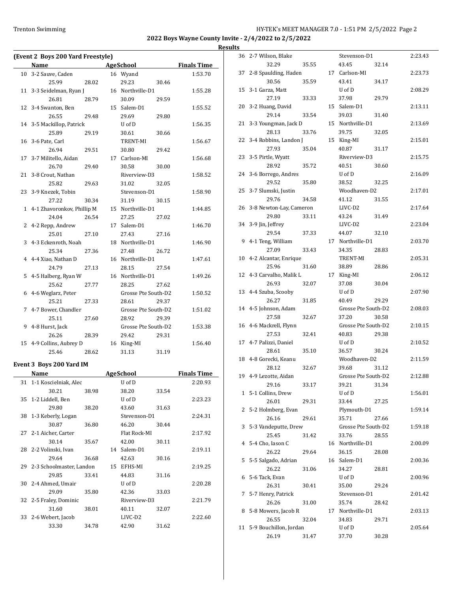|    |                                   |       |                     |       |                    | <b>Results</b> |
|----|-----------------------------------|-------|---------------------|-------|--------------------|----------------|
|    | (Event 2 Boys 200 Yard Freestyle) |       |                     |       |                    | 3              |
|    | Name                              |       | <b>AgeSchool</b>    |       | <b>Finals Time</b> |                |
| 10 | 3-2 Sauve, Caden                  |       | 16 Wyand            |       | 1:53.70            | 3              |
|    | 25.99                             | 28.02 | 29.23               | 30.46 |                    |                |
|    | 11 3-3 Seidelman, Ryan J          |       | 16 Northville-D1    |       | 1:55.28            | 1              |
|    | 26.81                             | 28.79 | 30.09               | 29.59 |                    |                |
|    | 12 3-4 Swanton, Ben               |       | 15 Salem-D1         |       | 1:55.52            | 2              |
|    | 26.55                             | 29.48 | 29.69               | 29.80 |                    |                |
|    | 14 3-5 Mackillop, Patrick         |       | U of D              |       | 1:56.35            | 2              |
|    | 25.89                             | 29.19 | 30.61               | 30.66 |                    |                |
|    | 16 3-6 Pate, Carl                 |       | TRENT-MI            |       | 1:56.67            | 2              |
|    | 26.94                             | 29.51 | 30.80               | 29.42 |                    |                |
| 17 | 3-7 Militello, Aidan              |       | 17 Carlson-MI       |       | 1:56.68            | 2              |
|    | 26.70                             | 29.40 | 30.58               | 30.00 |                    |                |
|    | 21 3-8 Crout, Nathan              |       | Riverview-D3        |       | 1:58.52            | 2              |
|    | 25.82                             | 29.63 | 31.02               | 32.05 |                    |                |
|    | 23 3-9 Knezek, Tobin              |       | Stevenson-D1        |       | 1:58.90            | 2              |
|    | 27.22                             | 30.34 | 31.19               | 30.15 |                    |                |
|    | 1 4-1 Zhavoronkov, Phillip M      |       | 15 Northville-D1    |       | 1:44.85            | 2              |
|    | 24.04                             | 26.54 | 27.25               | 27.02 |                    |                |
| 2  | 4-2 Repp, Andrew                  |       | 17 Salem-D1         |       | 1:46.70            | 3              |
|    | 25.01                             | 27.10 | 27.43               | 27.16 |                    |                |
| 3  | 4-3 Eckenroth, Noah               |       | 18 Northville-D1    |       | 1:46.90            |                |
|    | 25.34                             | 27.36 | 27.48               | 26.72 |                    |                |
| 4  | 4-4 Xiao, Nathan D                |       | 16 Northville-D1    |       | 1:47.61            | 1              |
|    | 24.79                             | 27.13 | 28.15               | 27.54 |                    |                |
| 5  | 4-5 Halberg, Ryan W               |       | 16 Northville-D1    |       | 1:49.26            | 1              |
|    | 25.62                             | 27.77 | 28.25               | 27.62 |                    |                |
| 6  | 4-6 Weglarz, Peter                |       | Grosse Pte South-D2 |       | 1:50.52            | 1              |
|    | 25.21                             | 27.33 | 28.61               | 29.37 |                    |                |
| 7  | 4-7 Bower, Chandler               |       | Grosse Pte South-D2 |       | 1:51.02            | 1              |
|    | 25.11                             | 27.60 | 28.92               | 29.39 |                    |                |
| 9  | 4-8 Hurst, Jack                   |       | Grosse Pte South-D2 |       | 1:53.38            | 1              |
|    | 26.26                             | 28.39 | 29.42               | 29.31 |                    |                |
|    | 15 4-9 Collins, Aubrey D          |       | 16 King-MI          |       | 1:56.40            | 1              |
|    | 25.46                             | 28.62 | 31.13               | 31.19 |                    |                |
|    |                                   |       |                     |       |                    |                |

# **Event 3 Boys 200 Yard IM**

|    | Name                        |       |    | <b>AgeSchool</b>    |       | <b>Finals Time</b> |
|----|-----------------------------|-------|----|---------------------|-------|--------------------|
| 31 | 1-1 Koscielniak, Alec       |       |    | U of D              |       | 2:20.93            |
|    | 30.21                       | 38.98 |    | 38.20               | 33.54 |                    |
|    | 35 1-2 Liddell, Ben         |       |    | U of D              |       | 2:23.23            |
|    | 29.80                       | 38.20 |    | 43.60               | 31.63 |                    |
| 38 | 1-3 Keberly, Logan          |       |    | Stevenson-D1        |       | 2:24.31            |
|    | 30.87                       | 36.80 |    | 46.20               | 30.44 |                    |
|    | 27 2-1 Aicher, Carter       |       |    | Flat Rock-MI        |       | 2:17.92            |
|    | 30.14                       | 35.67 |    | 42.00               | 30.11 |                    |
|    | 28 2-2 Volinski, Ivan       |       | 14 | Salem-D1            |       | 2:19.11            |
|    | 29.64                       | 36.68 |    | 42.63               | 30.16 |                    |
|    | 29 2-3 Schoolmaster, Landon |       | 15 | EFHS-MI             |       | 2:19.25            |
|    | 29.85                       | 33.41 |    | 44.83               | 31.16 |                    |
| 30 | 2-4 Ahmed, Umair            |       |    | U of D              |       | 2:20.28            |
|    | 29.09                       | 35.80 |    | 42.36               | 33.03 |                    |
|    | 32 2-5 Fraley, Dominic      |       |    | Riverview-D3        |       | 2:21.79            |
|    | 31.60                       | 38.01 |    | 40.11               | 32.07 |                    |
|    | 33 2-6 Webert, Jacob        |       |    | LIVC-D <sub>2</sub> |       | 2:22.60            |
|    | 33.30                       | 34.78 |    | 42.90               | 31.62 |                    |
|    |                             |       |    |                     |       |                    |

| 36 | 2-7 Wilson, Blake        |       | Stevenson-D1           |       | 2:23.43 |
|----|--------------------------|-------|------------------------|-------|---------|
|    | 32.29                    | 35.55 | 43.45                  | 32.14 |         |
| 37 | 2-8 Spaulding, Haden     |       | 17 Carlson-MI          |       | 2:23.73 |
|    | 30.56                    | 35.59 | 43.41                  | 34.17 |         |
| 15 | 3-1 Garza, Matt          |       | U of D                 |       | 2:08.29 |
|    | 27.19                    | 33.33 | 37.98                  | 29.79 |         |
| 20 | 3-2 Huang, David         |       | 15 Salem-D1            |       | 2:13.11 |
|    | 29.14                    | 33.54 | 39.03                  | 31.40 |         |
| 21 | 3-3 Youngman, Jack D     |       | 15 Northville-D1       |       | 2:13.69 |
|    | 28.13                    | 33.76 | 39.75                  | 32.05 |         |
| 22 | 3-4 Robbins, Landon J    |       | 15 King-MI             |       | 2:15.01 |
|    | 27.93                    | 35.04 | 40.87                  | 31.17 |         |
| 23 | 3-5 Pirtle, Wyatt        |       | Riverview-D3           |       | 2:15.75 |
|    | 28.92                    | 35.72 | 40.51                  | 30.60 |         |
| 24 | 3-6 Borrego, Andres      |       | U of D                 |       | 2:16.09 |
|    | 29.52                    | 35.80 | 38.52                  | 32.25 |         |
| 25 | 3-7 Slumski, Justin      |       | Woodhaven-D2           |       | 2:17.01 |
|    | 29.76                    | 34.58 | 41.12                  | 31.55 |         |
| 26 | 3-8 Newton-Lay, Cameron  |       | LIVC-D2                |       | 2:17.64 |
|    | 29.80                    | 33.11 | 43.24                  | 31.49 |         |
| 34 | 3-9 Jin, Jeffrey         |       | LIVC-D2                |       | 2:23.04 |
|    | 29.54                    | 37.33 | 44.07                  | 32.10 |         |
| 9  | 4-1 Teng, William        |       | 17 Northville-D1       |       | 2:03.70 |
|    | 27.09                    | 33.43 | 34.35                  | 28.83 |         |
|    |                          |       |                        |       |         |
|    | 10 4-2 Alcantar, Enrique |       | TRENT-MI               |       | 2:05.31 |
|    | 25.96                    | 31.60 | 38.89                  | 28.86 |         |
| 12 | 4-3 Carvalho, Malik L    |       | 17 King-MI             |       | 2:06.12 |
|    | 26.93                    | 32.07 | 37.08                  | 30.04 |         |
|    | 13 4-4 Szuba, Scooby     |       | U of D                 |       | 2:07.90 |
|    | 26.27                    | 31.85 | 40.49                  | 29.29 |         |
| 14 | 4-5 Johnson, Adam        |       | Grosse Pte South-D2    |       | 2:08.03 |
|    | 27.58                    | 32.67 | 37.20                  | 30.58 |         |
| 16 | 4-6 Mackrell, Flynn      |       | Grosse Pte South-D2    |       | 2:10.15 |
|    | 27.53                    | 32.41 | 40.83                  | 29.38 |         |
| 17 | 4-7 Palizzi, Daniel      |       | U of D                 |       | 2:10.52 |
|    | 28.61                    | 35.10 | 36.57                  | 30.24 |         |
| 18 | 4-8 Gorecki, Keanu       |       | Woodhaven-D2           |       | 2:11.59 |
|    | 28.12                    | 32.67 | 39.68                  | 31.12 |         |
| 19 | 4-9 Lezotte, Aidan       |       | Grosse Pte South-D2    |       | 2:12.88 |
|    | 29.16                    | 33.17 | 39.21 31.34            |       |         |
|    | 1 5-1 Collins, Drew      |       | U of D                 |       | 1:56.01 |
|    | 26.01                    | 29.31 | 33.44                  | 27.25 |         |
| 2  | 5-2 Holmberg, Evan       |       | Plymouth-D1            |       | 1:59.14 |
|    | 26.16                    | 29.61 | 35.71                  | 27.66 |         |
|    | 3 5-3 Vandeputte, Drew   |       | Grosse Pte South-D2    |       | 1:59.18 |
|    | 25.45                    | 31.42 | 33.76                  | 28.55 |         |
|    | 4 5-4 Cho, Iason C       |       | 16 Northville-D1       |       | 2:00.09 |
|    | 26.22                    | 29.64 | 36.15                  | 28.08 |         |
| 5  | 5-5 Salgado, Adrian      |       | 16 Salem-D1            |       | 2:00.36 |
|    | 26.22                    | 31.06 | 34.27                  | 28.81 |         |
| 6  | 5-6 Tack, Evan           |       | U of D                 |       | 2:00.96 |
|    | 26.31                    | 30.41 | 35.00                  | 29.24 |         |
|    | 7 5-7 Henry, Patrick     |       | Stevenson-D1           |       | 2:01.42 |
|    | 26.26                    | 31.00 | 35.74                  | 28.42 |         |
| 8  | 5-8 Mowers, Jacob R      |       | 17 Northville-D1       |       | 2:03.13 |
|    | 26.55                    | 32.04 | 34.83                  | 29.71 |         |
| 11 | 5-9 Bouchillon, Jordan   |       | ${\bf U}$ of ${\bf D}$ |       | 2:05.64 |
|    | 26.19                    | 31.47 | 37.70                  | 30.28 |         |
|    |                          |       |                        |       |         |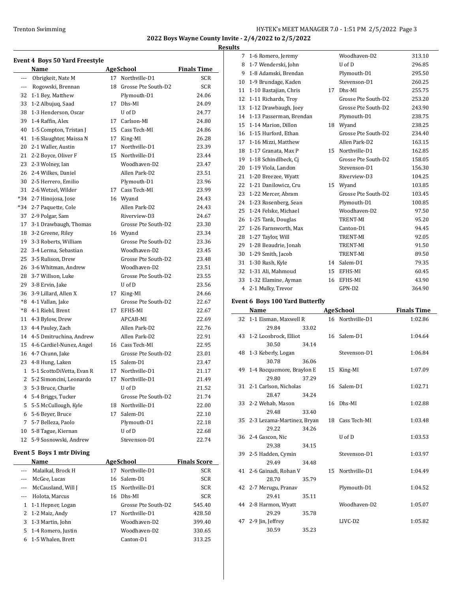**Results**

|              | Event 4 Boys 50 Yard Freestyle   |    |                        |                     |  |  |
|--------------|----------------------------------|----|------------------------|---------------------|--|--|
|              | Name                             |    | AgeSchool              | <b>Finals Time</b>  |  |  |
| $---$        | Obrigkeit, Nate M                |    | 17 Northville-D1       | SCR                 |  |  |
| ---          | Rogowski, Brennan                |    | 18 Grosse Pte South-D2 | <b>SCR</b>          |  |  |
| 32           | 1-1 Bey, Matthew                 |    | Plymouth-D1            | 24.06               |  |  |
| 33           | 1-2 Albujuq, Saad                | 17 | Dhs-MI                 | 24.09               |  |  |
| 38           | 1-3 Henderson, Oscar             |    | U of D                 | 24.77               |  |  |
| 39           | 1-4 Raffin, Alex                 |    | 17 Carlson-MI          | 24.80               |  |  |
| 40           | 1-5 Compton, Tristan J           | 15 | Cass Tech-MI           | 24.86               |  |  |
| 41           | 1-6 Slaughter, Maissa N          | 17 | King-MI                | 26.28               |  |  |
| 20           | 2-1 Waller, Austin               | 17 | Northville-D1          | 23.39               |  |  |
| 21           | 2-2 Boyce, Oliver F              |    | 15 Northville-D1       | 23.44               |  |  |
| 23           | 2-3 Wolney, Ian                  |    | Woodhaven-D2           | 23.47               |  |  |
| 26           | 2-4 Wilkes, Daniel               |    | Allen Park-D2          | 23.51               |  |  |
| 30           | 2-5 Herrero, Emilio              |    | Plymouth-D1            | 23.96               |  |  |
| 31           | 2-6 Wetzel, Wilder               |    | 17 Cass Tech-MI        | 23.99               |  |  |
| *34          | 2-7 Hinojosa, Jose               |    | 16 Wyand               | 24.43               |  |  |
| *34          | 2-7 Paquette, Cole               |    | Allen Park-D2          | 24.43               |  |  |
| 37           | 2-9 Polgar, Sam                  |    | Riverview-D3           | 24.67               |  |  |
| 17           | 3-1 Drawbaugh, Thomas            |    | Grosse Pte South-D2    | 23.30               |  |  |
|              | 18 3-2 Greene, Riley             |    | 16 Wyand               | 23.34               |  |  |
|              | 19 3-3 Roberts, William          |    | Grosse Pte South-D2    | 23.36               |  |  |
| 22           | 3-4 Lerma, Sebastian             |    | Woodhaven-D2           | 23.45               |  |  |
| 25           | 3-5 Rulison, Drew                |    | Grosse Pte South-D2    | 23.48               |  |  |
| 26           | 3-6 Whitman, Andrew              |    | Woodhaven-D2           | 23.51               |  |  |
|              |                                  |    | Grosse Pte South-D2    |                     |  |  |
| 28           | 3-7 Willson, Luke                |    |                        | 23.55               |  |  |
| 29           | 3-8 Ervin, Jake                  |    | U of D                 | 23.56               |  |  |
| 36           | 3-9 Lillard, Allen X             |    | 17 King-MI             | 24.66               |  |  |
| *8           | 4-1 Vallan, Jake                 |    | Grosse Pte South-D2    | 22.67               |  |  |
| *8           | 4-1 Riehl, Brent                 |    | 17 EFHS-MI             | 22.67               |  |  |
| 11           | 4-3 Bylow, Drew                  |    | APCAB-MI               | 22.69               |  |  |
| 13           | 4-4 Pauley, Zach                 |    | Allen Park-D2          | 22.76               |  |  |
| 14           | 4-5 Dmitruchina, Andrew          |    | Allen Park-D2          | 22.91               |  |  |
| 15           | 4-6 Cardiel-Nunez, Angel         |    | 16 Cass Tech-MI        | 22.95               |  |  |
|              | 16 4-7 Chunn, Jake               |    | Grosse Pte South-D2    | 23.01               |  |  |
| 23           | 4-8 Hung, Laken                  |    | 15 Salem-D1            | 23.47               |  |  |
| $\mathbf{1}$ | 5-1 ScottoDiVetta, Evan R        | 17 | Northville-D1          | 21.17               |  |  |
| 2            | 5-2 Simoncini, Leonardo          | 17 | Northville-D1          | 21.49               |  |  |
|              | 3 5-3 Bruce, Charlie             |    | U of D                 | 21.52               |  |  |
| 4            | 5-4 Briggs, Tucker               |    | Grosse Pte South-D2    | 21.74               |  |  |
| 5            | 5-5 McCullough, Kyle             |    | 18 Northville-D1       | 22.00               |  |  |
| 6            | 5-6 Beyer, Bruce                 | 17 | Salem-D1               | 22.10               |  |  |
| 7            | 5-7 Belleza, Paolo               |    | Plymouth-D1            | 22.18               |  |  |
| 10           | 5-8 Tague, Kiernan               |    | U of D                 | 22.68               |  |  |
| 12           | 5-9 Sosnowski, Andrew            |    | Stevenson-D1           | 22.74               |  |  |
|              | <b>Event 5 Boys 1 mtr Diving</b> |    |                        |                     |  |  |
|              | Name                             |    | <b>AgeSchool</b>       | <b>Finals Score</b> |  |  |
|              |                                  |    |                        |                     |  |  |
| $\cdots$     | Malaikal, Brock H                | 17 | Northville-D1          | SCR                 |  |  |
| $\cdots$     | McGee, Lucas                     | 16 | Salem-D1               | SCR                 |  |  |
| ---          | McCausland, Will J               |    | 15 Northville-D1       | SCR                 |  |  |
| $\cdots$     | Holota, Marcus                   |    | 16 Dhs-MI              | SCR                 |  |  |
| 1            | 1-1 Hepner, Logan                |    | Grosse Pte South-D2    | 545.40              |  |  |
| 2            | 1-2 Maiz, Andy                   | 17 | Northville-D1          | 428.50              |  |  |
| 3            | 1-3 Martin, John                 |    | Woodhaven-D2           | 399.40              |  |  |
| 5            | 1-4 Romero, Justin               |    | Woodhaven-D2           | 330.65              |  |  |
| 6            | 1-5 Whalen, Brett                |    | Canton-D1              | 313.25              |  |  |

| د. |                         |    |                     |        |
|----|-------------------------|----|---------------------|--------|
| 7  | 1-6 Romero, Jeremy      |    | Woodhaven-D2        | 313.10 |
|    | 8 1-7 Wenderski, John   |    | U of D              | 296.85 |
| 9  | 1-8 Adamski, Brendan    |    | Plymouth-D1         | 295.50 |
| 10 | 1-9 Brundage, Kaden     |    | Stevenson-D1        | 260.25 |
| 11 | 1-10 Bastajian, Chris   | 17 | Dhs-MI              | 255.75 |
| 12 | 1-11 Richards, Troy     |    | Grosse Pte South-D2 | 253.20 |
| 13 | 1-12 Drawbaugh, Joey    |    | Grosse Pte South-D2 | 243.90 |
| 14 | 1-13 Passerman, Brendan |    | Plymouth-D1         | 238.75 |
| 15 | 1-14 Marion, Dillon     | 18 | Wyand               | 238.25 |
| 16 | 1-15 Hurford, Ethan     |    | Grosse Pte South-D2 | 234.40 |
| 17 | 1-16 Mizzi, Matthew     |    | Allen Park-D2       | 163.15 |
| 18 | 1-17 Granata, Max P     | 15 | Northville-D1       | 162.85 |
| 19 | 1-18 Schindlbeck, Cj    |    | Grosse Pte South-D2 | 158.05 |
| 20 | 1-19 Viola, Landon      |    | Stevenson-D1        | 156.30 |
| 21 | 1-20 Breezee, Wyatt     |    | Riverview-D3        | 104.25 |
| 22 | 1-21 Danilowicz, Cru    |    | 15 Wyand            | 103.85 |
| 23 | 1-22 Mercer, Abram      |    | Grosse Pte South-D2 | 103.45 |
| 24 | 1-23 Rosenberg, Sean    |    | Plymouth-D1         | 100.85 |
| 25 | 1-24 Felske, Michael    |    | Woodhaven-D2        | 97.50  |
| 26 | 1-25 Tank, Douglas      |    | TRENT-MI            | 95.20  |
| 27 | 1-26 Farnsworth, Max    |    | Canton-D1           | 94.45  |
| 28 | 1-27 Taylor, Will       |    | TRENT-MI            | 92.05  |
| 29 | 1-28 Beaudrie, Jonah    |    | TRENT-MI            | 91.50  |
| 30 | 1-29 Smith, Jacob       |    | TRENT-MI            | 89.50  |
| 31 | 1-30 Rush, Kyle         | 14 | Salem-D1            | 79.35  |
| 32 | 1-31 Ali, Mahmoud       | 15 | EFHS-MI             | 60.45  |
| 33 | 1-32 Elamine, Ayman     | 16 | EFHS-MI             | 43.90  |
| 4  | 2-1 Mulky, Trevor       |    | GPN-D2              | 364.90 |

**Event 6 Boys 100 Yard Butterfly**

| Name                          |       |  | AgeSchool        | <b>Finals Time</b> |  |  |
|-------------------------------|-------|--|------------------|--------------------|--|--|
| 32 1-1 Eisman, Maxwell R      |       |  | 16 Northville-D1 | 1:02.86            |  |  |
| 29.84                         | 33.02 |  |                  |                    |  |  |
| 43 1-2 Loosbrock, Elliot      |       |  | 16 Salem-D1      | 1:04.64            |  |  |
| 30.50                         | 34.14 |  |                  |                    |  |  |
| 48 1-3 Keberly, Logan         |       |  | Stevenson-D1     | 1:06.84            |  |  |
| 30.78                         | 36.06 |  |                  |                    |  |  |
| 49 1-4 Rocquemore, Braylon E  |       |  | 15 King-MI       | 1:07.09            |  |  |
| 29.80                         | 37.29 |  |                  |                    |  |  |
| 31 2-1 Carlson, Nicholas      |       |  | 16 Salem-D1      | 1:02.71            |  |  |
| 28.47                         | 34.24 |  |                  |                    |  |  |
| 33 2-2 Wehab, Mason           |       |  | 16 Dhs-MI        | 1:02.88            |  |  |
| 29.48                         | 33.40 |  |                  |                    |  |  |
| 35 2-3 Lezama-Martinez, Bryan |       |  | 18 Cass Tech-MI  | 1:03.48            |  |  |
| 29.22                         | 34.26 |  |                  |                    |  |  |
| 36 2-4 Gascon, Nic            |       |  | U of D           | 1:03.53            |  |  |
| 29.38                         | 34.15 |  |                  |                    |  |  |
| 39 2-5 Hadden, Cymin          |       |  | Stevenson-D1     | 1:03.97            |  |  |
| 29.49                         | 34.48 |  |                  |                    |  |  |
| 41 2-6 Gainadi, Rohan V       |       |  | 15 Northville-D1 | 1:04.49            |  |  |
| 28.70                         | 35.79 |  |                  |                    |  |  |
| 42 2-7 Merugu, Pranav         |       |  | Plymouth-D1      | 1:04.52            |  |  |
| 29.41                         | 35.11 |  |                  |                    |  |  |
| 44 2-8 Harmon, Wyatt          |       |  | Woodhaven-D2     | 1:05.07            |  |  |
| 29.29                         | 35.78 |  |                  |                    |  |  |
| 47 2-9 Jin, Jeffrey           |       |  | LIVC-D2          | 1:05.82            |  |  |
| 30.59                         | 35.23 |  |                  |                    |  |  |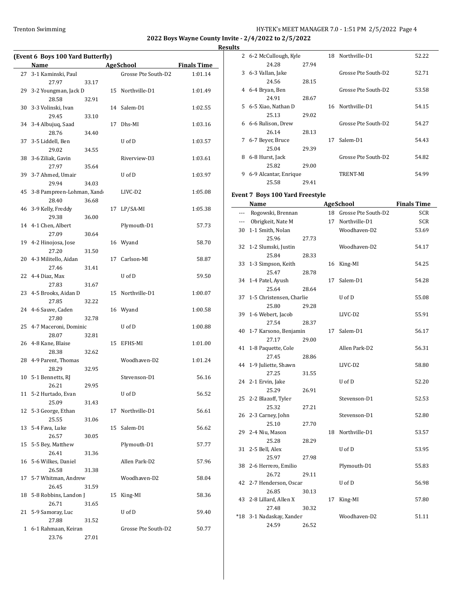**2022 Boys Wayne County Invite - 2/4/2022 to 2/5/2022 Results**

|    | Name                              |       |    | <b>AgeSchool</b>    | <b>Finals Time</b> |
|----|-----------------------------------|-------|----|---------------------|--------------------|
|    | 27 3-1 Kaminski, Paul             |       |    | Grosse Pte South-D2 | 1:01.14            |
|    | 27.97                             | 33.17 |    |                     |                    |
|    | 29 3-2 Youngman, Jack D           |       |    | 15 Northville-D1    | 1:01.49            |
|    | 28.58                             | 32.91 |    |                     |                    |
|    | 30 3-3 Volinski, Ivan             |       |    | 14 Salem-D1         | 1:02.55            |
|    | 29.45<br>34 3-4 Albujuq, Saad     | 33.10 | 17 | Dhs-MI              | 1:03.16            |
|    | 28.76                             | 34.40 |    |                     |                    |
|    | 37 3-5 Liddell, Ben               |       |    | U of D              | 1:03.57            |
|    | 29.02                             | 34.55 |    |                     |                    |
|    | 38 3-6 Ziliak, Gavin              |       |    | Riverview-D3        | 1:03.61            |
|    | 27.97                             | 35.64 |    |                     |                    |
|    | 39 3-7 Ahmed, Umair               |       |    | U of D              | 1:03.97            |
|    | 29.94                             | 34.03 |    |                     |                    |
|    | 45 3-8 Pampreen-Lohman, Xand      |       |    | LIVC-D2             | 1:05.08            |
|    | 28.40                             | 36.68 |    |                     |                    |
|    | 46 3-9 Kelly, Freddy<br>29.38     | 36.00 |    | 17 LP/SA-MI         | 1:05.38            |
|    | 14 4-1 Chen, Albert               |       |    | Plymouth-D1         | 57.73              |
|    | 27.09                             | 30.64 |    |                     |                    |
|    | 19 4-2 Hinojosa, Jose             |       | 16 | Wyand               | 58.70              |
|    | 27.20                             | 31.50 |    |                     |                    |
|    | 20 4-3 Militello, Aidan           |       | 17 | Carlson-MI          | 58.87              |
|    | 27.46                             | 31.41 |    |                     |                    |
|    | 22 4-4 Diaz, Max                  |       |    | U of D              | 59.50              |
|    | 27.83                             | 31.67 |    |                     |                    |
|    | 23 4-5 Brooks, Aidan D            |       | 15 | Northville-D1       | 1:00.07            |
|    | 27.85<br>24 4-6 Sauve, Caden      | 32.22 |    | 16 Wyand            |                    |
|    | 27.80                             | 32.78 |    |                     | 1:00.58            |
|    | 25 4-7 Maceroni, Dominic          |       |    | U of D              | 1:00.88            |
|    | 28.07                             | 32.81 |    |                     |                    |
|    | 26 4-8 Kane, Blaise               |       |    | 15 EFHS-MI          | 1:01.00            |
|    | 28.38                             | 32.62 |    |                     |                    |
|    | 28 4-9 Parent, Thomas             |       |    | Woodhaven-D2        | 1:01.24            |
|    | 28.29                             | 32.95 |    |                     |                    |
|    | 10 5-1 Bennetts, RJ               |       |    | Stevenson-D1        | 56.16              |
|    | 26.21                             | 29.95 |    |                     |                    |
|    | 11 5-2 Hurtado, Evan              |       |    | U of D              | 56.52              |
| 12 | 25.09<br>5-3 George, Ethan        | 31.43 | 17 | Northville-D1       | 56.61              |
|    | 25.55                             | 31.06 |    |                     |                    |
|    | 13 5-4 Fava, Luke                 |       | 15 | Salem-D1            | 56.62              |
|    | 26.57                             | 30.05 |    |                     |                    |
|    | 15 5-5 Bey, Matthew               |       |    | Plymouth-D1         | 57.77              |
|    | 26.41                             | 31.36 |    |                     |                    |
|    | 16 5-6 Wilkes, Daniel             |       |    | Allen Park-D2       | 57.96              |
|    | 26.58                             | 31.38 |    |                     |                    |
| 17 | 5-7 Whitman, Andrew               |       |    | Woodhaven-D2        | 58.04              |
|    | 26.45                             | 31.59 |    |                     |                    |
|    | 18 5-8 Robbins, Landon J<br>26.71 |       | 15 | King-MI             | 58.36              |
| 21 | 5-9 Samoray, Luc                  | 31.65 |    | U of D              | 59.40              |
|    | 27.88                             | 31.52 |    |                     |                    |
| 1  | 6-1 Rahmaan, Keiran               |       |    | Grosse Pte South-D2 | 50.77              |
|    |                                   |       |    |                     |                    |

|    | 2 6-2 McCullough, Kyle          |       |    | 18 Northville-D1       | 52.22              |
|----|---------------------------------|-------|----|------------------------|--------------------|
|    | 24.28                           | 27.94 |    |                        |                    |
|    | 3 6-3 Vallan, Jake              |       |    | Grosse Pte South-D2    | 52.71              |
|    | 24.56                           | 28.15 |    |                        |                    |
|    | 4 6-4 Bryan, Ben                |       |    | Grosse Pte South-D2    | 53.58              |
|    | 24.91                           | 28.67 |    |                        |                    |
|    | 5 6-5 Xiao, Nathan D            |       |    | 16 Northville-D1       | 54.15              |
|    | 25.13                           | 29.02 |    |                        |                    |
|    | 6 6-6 Rulison, Drew             |       |    | Grosse Pte South-D2    | 54.27              |
|    | 26.14                           | 28.13 |    |                        |                    |
|    | 7 6-7 Beyer, Bruce              |       | 17 | Salem-D1               | 54.43              |
|    | 25.04                           | 29.39 |    |                        |                    |
| 8  | 6-8 Hurst, Jack                 |       |    | Grosse Pte South-D2    | 54.82              |
|    | 25.82                           | 29.00 |    |                        |                    |
|    | 9 6-9 Alcantar, Enrique         |       |    | TRENT-MI               | 54.99              |
|    | 25.58                           | 29.41 |    |                        |                    |
|    |                                 |       |    |                        |                    |
|    | Event 7 Boys 100 Yard Freestyle |       |    |                        |                    |
|    | Name                            |       |    | <b>AgeSchool</b>       | <b>Finals Time</b> |
|    | --- Rogowski, Brennan           |       |    | 18 Grosse Pte South-D2 | SCR                |
|    | --- Obrigkeit, Nate M           |       |    | 17 Northville-D1       | SCR                |
| 30 | 1-1 Smith, Nolan                |       |    | Woodhaven-D2           | 53.69              |
|    | 25.96                           | 27.73 |    |                        |                    |
|    | 32 1-2 Slumski, Justin          |       |    | Woodhaven-D2           | 54.17              |
|    | 25.84                           | 28.33 |    |                        |                    |
| 33 | 1-3 Simpson, Keith              |       | 16 | King-MI                | 54.25              |
|    | 25.47                           | 28.78 |    |                        |                    |
| 34 | 1-4 Patel, Ayush                |       | 17 | Salem-D1               | 54.28              |
|    | 25.64                           | 28.64 |    |                        |                    |
| 37 | 1-5 Christensen, Charlie        |       |    | U of D                 | 55.08              |
|    | 25.80                           | 29.28 |    |                        |                    |
| 39 | 1-6 Webert, Jacob               |       |    | LIVC-D2                | 55.91              |
|    | 27.54                           | 28.37 |    |                        |                    |
| 40 | 1-7 Karsono, Benjamin           |       | 17 | Salem-D1               | 56.17              |
|    | 27.17                           | 29.00 |    |                        |                    |
| 41 | 1-8 Paquette, Cole              |       |    | Allen Park-D2          | 56.31              |
|    | 27.45                           | 28.86 |    |                        |                    |
| 44 | 1-9 Juliette, Shawn             |       |    | LIVC-D2                | 58.80              |
|    | 27.25                           | 31.55 |    |                        |                    |
|    | 24 2-1 Ervin, Jake              |       |    | U of D                 | 52.20              |
|    | 25.29                           | 26.91 |    |                        |                    |
| 25 | 2-2 Blazoff, Tyler              |       |    | Stevenson-D1           | 52.53              |
|    | 25.32                           | 27.21 |    |                        |                    |
| 26 | 2-3 Carney, John                |       |    | Stevenson-D1           | 52.80              |
|    | 25.10                           | 27.70 |    |                        |                    |
| 29 | 2-4 Niu, Mason                  |       |    | 18 Northville-D1       | 53.57              |
|    | 25.28                           | 28.29 |    |                        |                    |
| 31 | 2-5 Bell, Alex                  |       |    | U of D                 | 53.95              |
|    | 25.97                           | 27.98 |    |                        |                    |
| 38 | 2-6 Herrero, Emilio             |       |    | Plymouth-D1            | 55.83              |
|    | 26.72                           | 29.11 |    |                        |                    |
| 42 | 2-7 Henderson, Oscar            |       |    | U of D                 | 56.98              |
|    | 26.85                           | 30.13 |    |                        |                    |
| 43 | 2-8 Lillard, Allen X            |       | 17 | King-MI                | 57.80              |
|    | 27.48                           | 30.32 |    |                        |                    |
|    | *18 3-1 Nadaskay, Xander        |       |    | Woodhaven-D2           | 51.11              |
|    | 24.59                           | 26.52 |    |                        |                    |
|    |                                 |       |    |                        |                    |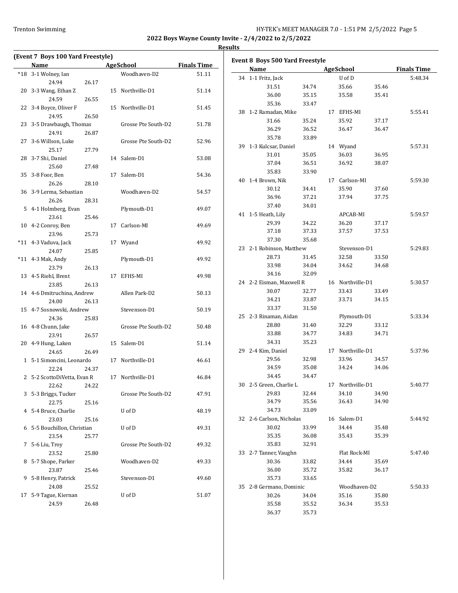**2022 Boys Wayne County Invite - 2/4/2022 to 2/5/2022**

| (Event 7 Boys 100 Yard Freestyle) |                     |                    | <b>Results</b> |                                 |       |                  |       |                    |
|-----------------------------------|---------------------|--------------------|----------------|---------------------------------|-------|------------------|-------|--------------------|
| Name                              | <b>AgeSchool</b>    | <b>Finals Time</b> |                | Event 8 Boys 500 Yard Freestyle |       |                  |       |                    |
| *18 3-1 Wolney, Ian               | Woodhaven-D2        | 51.11              |                | Name                            |       | AgeSchool        |       | <b>Finals Time</b> |
| 24.94<br>26.17                    |                     |                    |                | 34 1-1 Fritz, Jack              |       | U of D           |       | 5:48.34            |
| 20 3-3 Wang, Ethan Z              | 15 Northville-D1    | 51.14              |                | 31.51                           | 34.74 | 35.66            | 35.46 |                    |
| 24.59<br>26.55                    |                     |                    |                | 36.00                           | 35.15 | 35.58            | 35.41 |                    |
| 22 3-4 Boyce, Oliver F            | 15 Northville-D1    | 51.45              |                | 35.36                           | 33.47 |                  |       |                    |
| 26.50<br>24.95                    |                     |                    |                | 38 1-2 Ramadan, Mike            |       | 17 EFHS-MI       |       | 5:55.41            |
| 23 3-5 Drawbaugh, Thomas          | Grosse Pte South-D2 | 51.78              |                | 31.66                           | 35.24 | 35.92            | 37.17 |                    |
| 24.91<br>26.87                    |                     |                    |                | 36.29                           | 36.52 | 36.47            | 36.47 |                    |
| 27 3-6 Willson, Luke              | Grosse Pte South-D2 | 52.96              |                | 35.78                           | 33.89 |                  |       |                    |
| 25.17<br>27.79                    |                     |                    |                | 39 1-3 Kulcsar, Daniel          |       | 14 Wyand         |       | 5:57.31            |
| 28 3-7 Shi, Daniel                |                     | 53.08              |                | 31.01                           | 35.05 | 36.03            | 36.95 |                    |
|                                   | 14 Salem-D1         |                    |                | 37.04                           | 36.51 | 36.92            | 38.07 |                    |
| 25.60<br>27.48                    |                     |                    |                | 35.83                           | 33.90 |                  |       |                    |
| 35 3-8 Foor, Ben                  | 17 Salem-D1         | 54.36              |                | 40 1-4 Brown, Nik               |       | 17 Carlson-MI    |       | 5:59.30            |
| 26.26<br>28.10                    |                     |                    |                | 30.12                           | 34.41 | 35.90            | 37.60 |                    |
| 36 3-9 Lerma, Sebastian           | Woodhaven-D2        | 54.57              |                | 36.96                           | 37.21 | 37.94            | 37.75 |                    |
| 26.26<br>28.31                    |                     |                    |                | 37.40                           | 34.01 |                  |       |                    |
| 5 4-1 Holmberg, Evan              | Plymouth-D1         | 49.07              |                | 41 1-5 Heath, Lily              |       | APCAB-MI         |       | 5:59.57            |
| 23.61<br>25.46                    |                     |                    |                | 29.39                           | 34.22 | 36.20            | 37.17 |                    |
| 10 4-2 Conroy, Ben                | 17 Carlson-MI       | 49.69              |                | 37.18                           | 37.33 | 37.57            | 37.53 |                    |
| 23.96<br>25.73                    |                     |                    |                | 37.30                           | 35.68 |                  |       |                    |
| *11 4-3 Vaduva, Jack              | 17 Wyand            | 49.92              |                | 23 2-1 Robinson, Matthew        |       | Stevenson-D1     |       | 5:29.83            |
| 24.07<br>25.85                    |                     |                    |                | 28.73                           | 31.45 | 32.58            | 33.50 |                    |
| *11 4-3 Mak, Andy                 | Plymouth-D1         | 49.92              |                | 33.98                           | 34.04 | 34.62            | 34.68 |                    |
| 23.79<br>26.13                    |                     |                    |                | 34.16                           | 32.09 |                  |       |                    |
| 13 4-5 Riehl, Brent               | 17 EFHS-MI          | 49.98              |                |                                 |       |                  |       |                    |
| 23.85<br>26.13                    |                     |                    |                | 24 2-2 Eisman, Maxwell R        |       | 16 Northville-D1 |       | 5:30.57            |
| 14 4-6 Dmitruchina, Andrew        | Allen Park-D2       | 50.13              |                | 30.07                           | 32.77 | 33.43            | 33.49 |                    |
| 24.00<br>26.13                    |                     |                    |                | 34.21                           | 33.87 | 33.71            | 34.15 |                    |
| 15 4-7 Sosnowski, Andrew          | Stevenson-D1        | 50.19              |                | 33.37                           | 31.50 |                  |       |                    |
| 24.36<br>25.83                    |                     |                    |                | 25 2-3 Rinaman, Aidan           |       | Plymouth-D1      |       | 5:33.34            |
| 16 4-8 Chunn, Jake                | Grosse Pte South-D2 | 50.48              |                | 28.80                           | 31.40 | 32.29            | 33.12 |                    |
| 23.91<br>26.57                    |                     |                    |                | 33.88                           | 34.77 | 34.83            | 34.71 |                    |
| 20 4-9 Hung, Laken                | 15 Salem-D1         | 51.14              |                | 34.31                           | 35.23 |                  |       |                    |
| 24.65<br>26.49                    |                     |                    |                | 29 2-4 Kim, Daniel              |       | 17 Northville-D1 |       | 5:37.96            |
| 1 5-1 Simoncini, Leonardo         | 17 Northville-D1    | 46.61              |                | 29.56                           | 32.98 | 33.96            | 34.57 |                    |
| 22.24<br>24.37                    |                     |                    |                | 34.59                           | 35.08 | 34.24            | 34.06 |                    |
| 2 5-2 ScottoDiVetta, Evan R       | 17 Northville-D1    | 46.84              |                | 34.45                           | 34.47 |                  |       |                    |
| 22.62<br>24.22                    |                     |                    |                | 30 2-5 Green, Charlie L         |       | 17 Northville-D1 |       | 5:40.77            |
| 3 5-3 Briggs, Tucker              | Grosse Pte South-D2 | 47.91              |                | 29.83                           | 32.44 | 34.10            | 34.90 |                    |
| 22.75<br>25.16                    |                     |                    |                | 34.79                           | 35.56 | 36.43            | 34.90 |                    |
| 4 5-4 Bruce, Charlie              | U of D              | 48.19              |                | 34.73                           | 33.09 |                  |       |                    |
| 23.03<br>25.16                    |                     |                    |                | 32 2-6 Carlson, Nicholas        |       | 16 Salem-D1      |       | 5:44.92            |
| 6 5-5 Bouchillon, Christian       | U of D              | 49.31              |                | 30.02                           | 33.99 | 34.44            | 35.48 |                    |
| 23.54<br>25.77                    |                     |                    |                | 35.35                           | 36.08 | 35.43            | 35.39 |                    |
| 7 5-6 Liu, Troy                   | Grosse Pte South-D2 | 49.32              |                | 35.83                           | 32.91 |                  |       |                    |
| 23.52<br>25.80                    |                     |                    |                | 33 2-7 Tanner, Vaughn           |       | Flat Rock-MI     |       | 5:47.40            |
| 8 5-7 Shope, Parker               | Woodhaven-D2        | 49.33              |                | 30.36                           | 33.82 | 34.44            | 35.69 |                    |
| 23.87<br>25.46                    |                     |                    |                | 36.00                           | 35.72 | 35.82            | 36.17 |                    |
| 9 5-8 Henry, Patrick              | Stevenson-D1        | 49.60              |                | 35.73                           | 33.65 |                  |       |                    |
| 24.08<br>25.52                    |                     |                    |                | 35 2-8 Germano, Dominic         |       | Woodhaven-D2     |       | 5:50.33            |
| 17 5-9 Tague, Kiernan             | U of D              | 51.07              |                | 30.26                           | 34.04 | 35.16            | 35.80 |                    |
| 24.59<br>26.48                    |                     |                    |                | 35.58                           | 35.52 | 36.34            | 35.53 |                    |
|                                   |                     |                    |                |                                 |       |                  |       |                    |
|                                   |                     |                    |                | 36.37                           | 35.73 |                  |       |                    |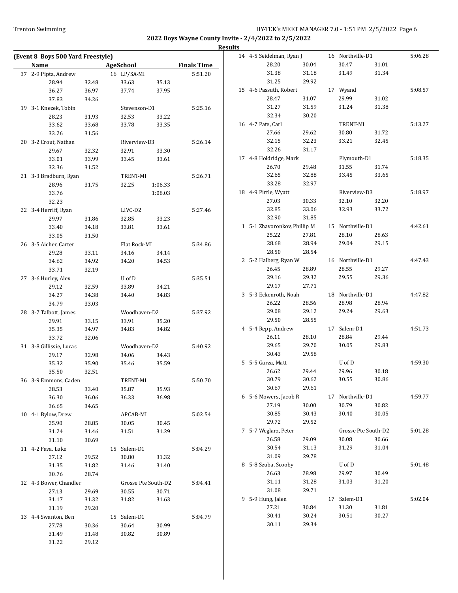| Name                    |       | <b>AgeSchool</b>    |                     | <b>Finals Time</b> |
|-------------------------|-------|---------------------|---------------------|--------------------|
| 37 2-9 Pipta, Andrew    |       | 16 LP/SA-MI         |                     | 5:51.20            |
| 28.94                   | 32.48 | 33.63               | 35.13               |                    |
| 36.27                   | 36.97 | 37.74               | 37.95               |                    |
| 37.83                   | 34.26 |                     |                     |                    |
| 19 3-1 Knezek, Tobin    |       | Stevenson-D1        |                     | 5:25.16            |
| 28.23                   | 31.93 | 32.53               | 33.22               |                    |
| 33.62                   | 33.68 | 33.78               | 33.35               |                    |
| 33.26                   | 31.56 |                     |                     |                    |
| 20 3-2 Crout, Nathan    |       | Riverview-D3        |                     | 5:26.14            |
| 29.67                   | 32.32 | 32.91               | 33.30               |                    |
| 33.01                   | 33.99 | 33.45               | 33.61               |                    |
| 32.36                   | 31.52 |                     |                     |                    |
| 21 3-3 Bradburn, Ryan   |       | TRENT-MI            |                     | 5:26.71            |
| 28.96                   | 31.75 | 32.25               | 1:06.33             |                    |
| 33.76<br>32.23          |       |                     | 1:08.03             |                    |
| 22 3-4 Herriff, Ryan    |       | LIVC-D <sub>2</sub> |                     | 5:27.46            |
| 29.97                   | 31.86 | 32.85               | 33.23               |                    |
| 33.40                   | 34.18 | 33.81               | 33.61               |                    |
| 33.05                   | 31.50 |                     |                     |                    |
| 26 3-5 Aicher, Carter   |       | Flat Rock-MI        |                     | 5:34.86            |
| 29.28                   | 33.11 |                     |                     |                    |
| 34.62                   |       | 34.16<br>34.20      | 34.14               |                    |
|                         | 34.92 |                     | 34.53               |                    |
| 33.71                   | 32.19 |                     |                     |                    |
| 27 3-6 Hurley, Alex     |       | U of D              |                     | 5:35.51            |
| 29.12                   | 32.59 | 33.89               | 34.21               |                    |
| 34.27                   | 34.38 | 34.40               | 34.83               |                    |
| 34.79                   | 33.03 |                     |                     |                    |
| 28 3-7 Talbott, James   |       | Woodhaven-D2        |                     | 5:37.92            |
| 29.91                   | 33.15 | 33.91               | 35.20               |                    |
| 35.35                   | 34.97 | 34.83               | 34.82               |                    |
| 33.72                   | 32.06 |                     |                     |                    |
| 31 3-8 Gillissie, Lucas |       | Woodhaven-D2        |                     | 5:40.92            |
| 29.17                   | 32.98 | 34.06               | 34.43               |                    |
| 35.32                   | 35.90 | 35.46               | 35.59               |                    |
| 35.50                   | 32.51 |                     |                     |                    |
| 36 3-9 Emmons, Caden    |       | TRENT-MI            |                     | 5:50.70            |
| 28.53                   | 33.40 | 35.87               | 35.93               |                    |
| 36.30                   | 36.06 | 36.33               | 36.98               |                    |
| 36.65                   | 34.65 |                     |                     |                    |
| 10 4-1 Bylow, Drew      |       | APCAB-MI            |                     | 5:02.54            |
| 25.90                   | 28.85 | 30.05               | 30.45               |                    |
| 31.24                   | 31.46 | 31.51               | 31.29               |                    |
| 31.10                   | 30.69 |                     |                     |                    |
| 11 4-2 Fava, Luke       |       | 15 Salem-D1         |                     | 5:04.29            |
| 27.12                   | 29.52 | 30.80               | 31.32               |                    |
| 31.35                   | 31.82 | 31.46               | 31.40               |                    |
| 30.76                   | 28.74 |                     |                     |                    |
| 12 4-3 Bower, Chandler  |       |                     | Grosse Pte South-D2 | 5:04.41            |
| 27.13                   | 29.69 | 30.55               | 30.71               |                    |
| 31.17                   | 31.32 | 31.82               | 31.63               |                    |
| 31.19                   | 29.20 |                     |                     |                    |
| 13 4-4 Swanton, Ben     |       | 15 Salem-D1         |                     | 5:04.79            |
| 27.78                   | 30.36 | 30.64               | 30.99               |                    |
| 31.49                   | 31.48 | 30.82               | 30.89               |                    |
| 31.22                   | 29.12 |                     |                     |                    |

|   | 14 4-5 Seidelman, Ryan J     |       |    | 16 Northville-D1    |       | 5:06.28 |
|---|------------------------------|-------|----|---------------------|-------|---------|
|   | 28.20                        | 30.04 |    | 30.47               | 31.01 |         |
|   | 31.38                        | 31.18 |    | 31.49               | 31.34 |         |
|   | 31.25                        | 29.92 |    |                     |       |         |
|   | 15 4-6 Passuth, Robert       |       |    | 17 Wyand            |       | 5:08.57 |
|   | 28.47                        | 31.07 |    | 29.99               | 31.02 |         |
|   | 31.27                        | 31.59 |    | 31.24               | 31.38 |         |
|   | 32.34                        | 30.20 |    |                     |       |         |
|   |                              |       |    |                     |       |         |
|   | 16 4-7 Pate, Carl            |       |    | TRENT-MI            |       | 5:13.27 |
|   | 27.66                        | 29.62 |    | 30.80               | 31.72 |         |
|   | 32.15                        | 32.23 |    | 33.21               | 32.45 |         |
|   | 32.26                        | 31.17 |    |                     |       |         |
|   | 17 4-8 Holdridge, Mark       |       |    | Plymouth-D1         |       | 5:18.35 |
|   | 26.70                        | 29.48 |    | 31.55               | 31.74 |         |
|   | 32.65                        | 32.88 |    | 33.45               | 33.65 |         |
|   | 33.28                        | 32.97 |    |                     |       |         |
|   | 18 4-9 Pirtle, Wyatt         |       |    | Riverview-D3        |       | 5:18.97 |
|   | 27.03                        | 30.33 |    | 32.10               | 32.20 |         |
|   | 32.85                        | 33.06 |    | 32.93               | 33.72 |         |
|   | 32.90                        | 31.85 |    |                     |       |         |
|   | 1 5-1 Zhavoronkov, Phillip M |       |    | 15 Northville-D1    |       | 4:42.61 |
|   | 25.22                        | 27.81 |    | 28.10               | 28.63 |         |
|   | 28.68                        | 28.94 |    | 29.04               | 29.15 |         |
|   | 28.50                        | 28.54 |    |                     |       |         |
|   |                              |       | 16 | Northville-D1       |       |         |
|   | 2 5-2 Halberg, Ryan W        |       |    |                     |       | 4:47.43 |
|   | 26.45                        | 28.89 |    | 28.55               | 29.27 |         |
|   | 29.16                        | 29.32 |    | 29.55               | 29.36 |         |
|   | 29.17                        | 27.71 |    |                     |       |         |
|   | 3 5-3 Eckenroth, Noah        |       |    | 18 Northville-D1    |       | 4:47.82 |
|   | 26.22                        | 28.56 |    | 28.98               | 28.94 |         |
|   | 29.08                        | 29.12 |    | 29.24               | 29.63 |         |
|   | 29.50                        | 28.55 |    |                     |       |         |
|   | 4 5-4 Repp, Andrew           |       |    | 17 Salem-D1         |       | 4:51.73 |
|   | 26.11                        | 28.10 |    | 28.84               | 29.44 |         |
|   | 29.65                        | 29.70 |    | 30.05               | 29.83 |         |
|   | 30.43                        | 29.58 |    |                     |       |         |
|   | 5 5-5 Garza, Matt            |       |    | U of D              |       | 4:59.30 |
|   | 26.62                        | 29.44 |    | 29.96               | 30.18 |         |
|   | 30.79                        | 30.62 |    | 30.55               | 30.86 |         |
|   | 30.67                        | 29.61 |    |                     |       |         |
|   | 6 5-6 Mowers, Jacob R        |       | 17 | Northville-D1       |       | 4:59.77 |
|   | 27.19                        | 30.00 |    | 30.79               | 30.82 |         |
|   | 30.85                        | 30.43 |    | 30.40               | 30.05 |         |
|   | 29.72                        | 29.52 |    |                     |       |         |
|   | 7 5-7 Weglarz, Peter         |       |    | Grosse Pte South-D2 |       | 5:01.28 |
|   | 26.58                        | 29.09 |    | 30.08               | 30.66 |         |
|   | 30.54                        |       |    | 31.29               | 31.04 |         |
|   |                              | 31.13 |    |                     |       |         |
|   | 31.09                        | 29.78 |    |                     |       |         |
| 8 | 5-8 Szuba, Scooby            |       |    | U of D              |       | 5:01.48 |
|   | 26.63                        | 28.98 |    | 29.97               | 30.49 |         |
|   | 31.11                        | 31.28 |    | 31.03               | 31.20 |         |
|   | 31.08                        | 29.71 |    |                     |       |         |
| 9 | 5-9 Hung, Jalen              |       | 17 | Salem-D1            |       | 5:02.04 |
|   | 27.21                        | 30.84 |    | 31.30               | 31.81 |         |
|   | 30.41                        | 30.24 |    | 30.51               | 30.27 |         |
|   | 30.11                        | 29.34 |    |                     |       |         |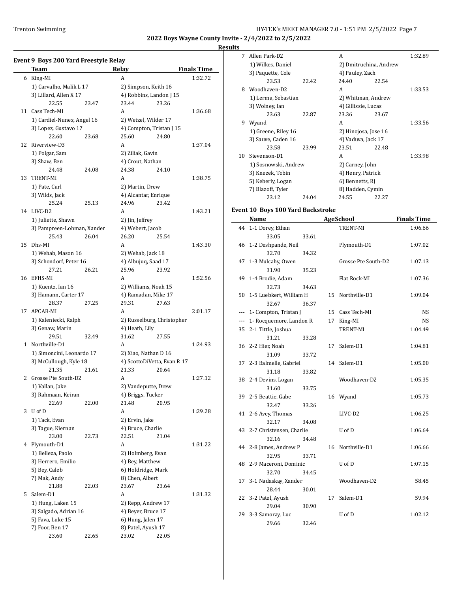#### **Results**

|    | Team                                             |       | Relay                                       |       | <b>Finals Time</b> |
|----|--------------------------------------------------|-------|---------------------------------------------|-------|--------------------|
|    | 6 King-MI                                        |       | A                                           |       | 1:32.72            |
|    | 1) Carvalho, Malik L 17                          |       | 2) Simpson, Keith 16                        |       |                    |
|    | 3) Lillard, Allen X 17                           |       | 4) Robbins, Landon J 15                     |       |                    |
|    | 22.55                                            | 23.47 | 23.44                                       | 23.26 |                    |
| 11 | Cass Tech-MI                                     |       | A                                           |       | 1:36.68            |
|    | 1) Cardiel-Nunez, Angel 16                       |       | 2) Wetzel, Wilder 17                        |       |                    |
|    | 3) Lopez, Gustavo 17                             |       | 4) Compton, Tristan J 15                    |       |                    |
|    | 22.60                                            | 23.68 | 25.60                                       | 24.80 |                    |
| 12 | Riverview-D3                                     |       | A                                           |       | 1:37.04            |
|    | 1) Polgar, Sam                                   |       | 2) Ziliak, Gavin                            |       |                    |
|    | 3) Shaw, Ben                                     |       | 4) Crout, Nathan                            |       |                    |
|    | 24.48                                            | 24.08 | 24.38                                       | 24.10 |                    |
| 13 | <b>TRENT-MI</b>                                  |       | A                                           |       | 1:38.75            |
|    | 1) Pate, Carl                                    |       | 2) Martin, Drew                             |       |                    |
|    | 3) Wilds, Jack                                   |       | 4) Alcantar, Enrique                        |       |                    |
|    | 25.24                                            | 25.13 | 24.96                                       | 23.42 |                    |
|    | 14 LIVC-D2                                       |       | A                                           |       | 1:43.21            |
|    |                                                  |       | 2) Jin, Jeffrey                             |       |                    |
|    | 1) Juliette, Shawn<br>3) Pampreen-Lohman, Xander |       | 4) Webert, Jacob                            |       |                    |
|    | 25.43                                            | 26.04 | 26.20                                       | 25.54 |                    |
| 15 | Dhs-MI                                           |       | A                                           |       | 1:43.30            |
|    | 1) Wehab, Mason 16                               |       | 2) Wehab, Jack 18                           |       |                    |
|    | 3) Schondorf, Peter 16                           |       | 4) Albujuq, Saad 17                         |       |                    |
|    | 27.21                                            | 26.21 | 25.96                                       | 23.92 |                    |
| 16 | EFHS-MI                                          |       | A                                           |       |                    |
|    |                                                  |       |                                             |       | 1:52.56            |
|    | 1) Kuentz, Ian 16<br>3) Hamann, Carter 17        |       | 2) Williams, Noah 15<br>4) Ramadan, Mike 17 |       |                    |
|    |                                                  |       |                                             |       |                    |
|    | 28.37<br>APCAB-MI                                | 27.25 | 29.31<br>A                                  | 27.63 |                    |
| 17 | 1) Kaleniecki, Ralph                             |       |                                             |       | 2:01.17            |
|    |                                                  |       | 2) Russelburg, Christopher                  |       |                    |
|    | 3) Genaw, Marin                                  |       | 4) Heath, Lily                              |       |                    |
|    | 29.51<br>1 Northville-D1                         | 32.49 | 31.62                                       | 27.55 |                    |
|    |                                                  |       | A                                           |       | 1:24.93            |
|    | 1) Simoncini, Leonardo 17                        |       | 2) Xiao, Nathan D 16                        |       |                    |
|    | 3) McCullough, Kyle 18                           |       | 4) ScottoDiVetta, Evan R 17                 |       |                    |
|    | 21.35                                            | 21.61 | 21.33                                       | 20.64 |                    |
| 2  | Grosse Pte South-D2                              |       | A                                           |       | 1:27.12            |
|    | 1) Vallan, Jake                                  |       | 2) Vandeputte, Drew                         |       |                    |
|    | 3) Rahmaan, Keiran                               |       | 4) Briggs, Tucker                           |       |                    |
|    | 22.69                                            | 22.00 | 21.48                                       | 20.95 |                    |
| 3  | U of D                                           |       | A                                           |       | 1:29.28            |
|    | 1) Tack, Evan                                    |       | 2) Ervin, Jake                              |       |                    |
|    | 3) Tague, Kiernan                                |       | 4) Bruce, Charlie                           |       |                    |
|    | 23.00                                            | 22.73 | 22.51                                       | 21.04 |                    |
| 4  | Plymouth-D1                                      |       | A                                           |       | 1:31.22            |
|    | 1) Belleza, Paolo                                |       | 2) Holmberg, Evan                           |       |                    |
|    | 3) Herrero, Emilio                               |       | 4) Bey, Matthew                             |       |                    |
|    | 5) Bey, Caleb                                    |       | 6) Holdridge, Mark                          |       |                    |
|    | 7) Mak, Andy                                     |       | 8) Chen, Albert                             |       |                    |
|    | 21.88                                            | 22.03 | 23.67                                       | 23.64 |                    |
| 5  | Salem-D1                                         |       | A                                           |       | 1:31.32            |
|    | 1) Hung, Laken 15                                |       | 2) Repp, Andrew 17                          |       |                    |
|    | 3) Salgado, Adrian 16                            |       | 4) Beyer, Bruce 17                          |       |                    |
|    | 5) Fava, Luke 15                                 |       | 6) Hung, Jalen 17                           |       |                    |
|    | 7) Foor, Ben 17                                  |       | 8) Patel, Ayush 17                          |       |                    |
|    | 23.60                                            | 22.65 | 23.02                                       | 22.05 |                    |

| 7  | Allen Park-D2        |       | A                      |       | 1:32.89 |
|----|----------------------|-------|------------------------|-------|---------|
|    | 1) Wilkes, Daniel    |       | 2) Dmitruchina, Andrew |       |         |
|    | 3) Paquette, Cole    |       | 4) Pauley, Zach        |       |         |
|    | 23.53                | 22.42 | 24.40                  | 22.54 |         |
| 8  | Woodhaven-D2         |       | A                      |       | 1:33.53 |
|    | 1) Lerma, Sebastian  |       | 2) Whitman, Andrew     |       |         |
|    | 3) Wolney, Ian       |       | 4) Gillissie, Lucas    |       |         |
|    | 23.63                | 22.87 | 23.36                  | 23.67 |         |
| 9  | Wyand                |       | A                      |       | 1:33.56 |
|    | 1) Greene, Riley 16  |       | 2) Hinojosa, Jose 16   |       |         |
|    | 3) Sauve, Caden 16   |       | 4) Vaduva, Jack 17     |       |         |
|    | 23.58                | 23.99 | 23.51                  | 22.48 |         |
| 10 | Stevenson-D1         |       | A                      |       | 1:33.98 |
|    | 1) Sosnowski, Andrew |       | 2) Carney, John        |       |         |
|    | 3) Knezek, Tobin     |       | 4) Henry, Patrick      |       |         |
|    | 5) Keberly, Logan    |       | 6) Bennetts, RJ        |       |         |
|    | 7) Blazoff, Tyler    |       | 8) Hadden, Cymin       |       |         |
|    | 23.12                | 24.04 | 24.55                  | 22.27 |         |

## **Event 10 Boys 100 Yard Backstroke**

|       | Name                        |       |    | <b>AgeSchool</b>    | <b>Finals Time</b> |
|-------|-----------------------------|-------|----|---------------------|--------------------|
| 44    | 1-1 Dorey, Ethan            |       |    | TRENT-MI            | 1:06.66            |
|       | 33.05                       | 33.61 |    |                     |                    |
| 46    | 1-2 Deshpande, Neil         |       |    | Plymouth-D1         | 1:07.02            |
|       | 32.70                       | 34.32 |    |                     |                    |
| 47    | 1-3 Mulcahy, Owen           |       |    | Grosse Pte South-D2 | 1:07.13            |
|       | 31.90                       | 35.23 |    |                     |                    |
| 49    | 1-4 Brodie, Adam            |       |    | Flat Rock-MI        | 1:07.36            |
|       | 32.73                       | 34.63 |    |                     |                    |
| 50    | 1-5 Luebkert, William H     |       | 15 | Northville-D1       | 1:09.04            |
|       | 32.67                       | 36.37 |    |                     |                    |
| ---   | 1- Compton, Tristan J       |       | 15 | Cass Tech-MI        | NS                 |
| $---$ | 1- Rocquemore, Landon R     |       | 17 | King-MI             | <b>NS</b>          |
| 35    | 2-1 Tittle, Joshua          |       |    | <b>TRENT-MI</b>     | 1:04.49            |
|       | 31.21                       | 33.28 |    |                     |                    |
| 36    | 2-2 Hier, Noah              |       | 17 | Salem-D1            | 1:04.81            |
|       | 31.09                       | 33.72 |    |                     |                    |
| 37    | 2-3 Balmelle, Gabriel       |       | 14 | Salem-D1            | 1:05.00            |
|       | 31.18                       | 33.82 |    |                     |                    |
| 38    | 2-4 Devins, Logan           |       |    | Woodhaven-D2        | 1:05.35            |
|       | 31.60                       | 33.75 |    |                     |                    |
| 39    | 2-5 Beattie, Gabe           |       | 16 | Wyand               | 1:05.73            |
|       | 32.47                       | 33.26 |    |                     |                    |
| 41    | 2-6 Avey, Thomas            |       |    | LIVC-D2             | 1:06.25            |
|       | 32.17                       | 34.08 |    |                     |                    |
|       | 43 2-7 Christensen, Charlie |       |    | U of D              | 1:06.64            |
|       | 32.16                       | 34.48 |    |                     |                    |
| 44    | 2-8 James, Andrew P         |       | 16 | Northville-D1       | 1:06.66            |
|       | 32.95                       | 33.71 |    |                     |                    |
| 48    | 2-9 Maceroni, Dominic       |       |    | U of D              | 1:07.15            |
|       | 32.70                       | 34.45 |    |                     |                    |
| 17    | 3-1 Nadaskay, Xander        |       |    | Woodhaven-D2        | 58.45              |
|       | 28.44                       | 30.01 |    |                     |                    |
| 22    | 3-2 Patel, Ayush            |       | 17 | Salem-D1            | 59.94              |
|       | 29.04                       | 30.90 |    |                     |                    |
| 29    | 3-3 Samoray, Luc            |       |    | U of D              | 1:02.12            |
|       | 29.66                       | 32.46 |    |                     |                    |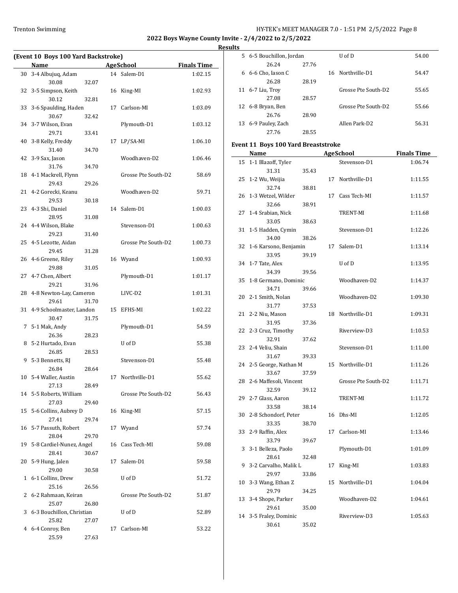### Trenton Swimming Trenton Swimming Trenton Swimming Trenton Swimming Trenton Swimming Trenton Swimming Super Bagge 8

**2022 Boys Wayne County Invite - 2/4/2022 to 2/5/2022**

**Results**

| (Event 10 Boys 100 Yard Backstroke) |                                   |       |    |                                 |         |  |  |
|-------------------------------------|-----------------------------------|-------|----|---------------------------------|---------|--|--|
|                                     | <b>Finals Time</b>                |       |    |                                 |         |  |  |
| 30                                  | Name<br>3-4 Albujuq, Adam         |       |    | <b>AgeSchool</b><br>14 Salem-D1 | 1:02.15 |  |  |
|                                     | 30.08                             | 32.07 |    |                                 |         |  |  |
| 32                                  | 3-5 Simpson, Keith                |       |    | 16 King-MI                      | 1:02.93 |  |  |
|                                     | 30.12                             | 32.81 |    |                                 |         |  |  |
| 33                                  | 3-6 Spaulding, Haden              |       | 17 | Carlson-MI                      | 1:03.09 |  |  |
|                                     | 30.67                             | 32.42 |    |                                 |         |  |  |
|                                     | 34 3-7 Wilson, Evan               |       |    | Plymouth-D1                     | 1:03.12 |  |  |
|                                     | 29.71                             | 33.41 |    |                                 |         |  |  |
| 40                                  | 3-8 Kelly, Freddy<br>31.40        | 34.70 | 17 | LP/SA-MI                        | 1:06.10 |  |  |
| 42                                  | 3-9 Sax, Jason                    |       |    | Woodhaven-D2                    | 1:06.46 |  |  |
|                                     | 31.76                             | 34.70 |    |                                 |         |  |  |
|                                     | 18 4-1 Mackrell, Flynn            |       |    | Grosse Pte South-D2             | 58.69   |  |  |
|                                     | 29.43                             | 29.26 |    |                                 |         |  |  |
|                                     | 21 4-2 Gorecki, Keanu             |       |    | Woodhaven-D2                    | 59.71   |  |  |
|                                     | 29.53                             | 30.18 |    |                                 |         |  |  |
|                                     | 23 4-3 Shi, Daniel                |       |    | 14 Salem-D1                     | 1:00.03 |  |  |
|                                     | 28.95                             | 31.08 |    |                                 |         |  |  |
|                                     | 24 4-4 Wilson, Blake              |       |    | Stevenson-D1                    | 1:00.63 |  |  |
|                                     | 29.23                             | 31.40 |    |                                 |         |  |  |
|                                     | 25 4-5 Lezotte, Aidan             |       |    | Grosse Pte South-D2             | 1:00.73 |  |  |
|                                     | 29.45                             | 31.28 |    |                                 |         |  |  |
|                                     | 26 4-6 Greene, Riley<br>29.88     | 31.05 |    | 16 Wyand                        | 1:00.93 |  |  |
|                                     | 27 4-7 Chen, Albert               |       |    | Plymouth-D1                     | 1:01.17 |  |  |
|                                     | 29.21                             | 31.96 |    |                                 |         |  |  |
|                                     | 28 4-8 Newton-Lay, Cameron        |       |    | LIVC-D2                         | 1:01.31 |  |  |
|                                     | 29.61                             | 31.70 |    |                                 |         |  |  |
|                                     | 31 4-9 Schoolmaster, Landon       |       | 15 | EFHS-MI                         | 1:02.22 |  |  |
|                                     | 30.47                             | 31.75 |    |                                 |         |  |  |
|                                     | 7 5-1 Mak, Andy                   |       |    | Plymouth-D1                     | 54.59   |  |  |
|                                     | 26.36                             | 28.23 |    |                                 |         |  |  |
| 8                                   | 5-2 Hurtado, Evan                 |       |    | U of D                          | 55.38   |  |  |
|                                     | 26.85                             | 28.53 |    |                                 |         |  |  |
| 9                                   | 5-3 Bennetts, RJ<br>26.84         | 28.64 |    | Stevenson-D1                    | 55.48   |  |  |
|                                     | 10 5-4 Waller, Austin             |       | 17 | Northville-D1                   | 55.62   |  |  |
|                                     | 27.13                             | 28.49 |    |                                 |         |  |  |
|                                     | 14 5-5 Roberts, William           |       |    | Grosse Pte South-D2             | 56.43   |  |  |
|                                     | 27.03                             | 29.40 |    |                                 |         |  |  |
| 15                                  | 5-6 Collins, Aubrey D             |       |    | 16 King-MI                      | 57.15   |  |  |
|                                     | 27.41                             | 29.74 |    |                                 |         |  |  |
|                                     | 16 5-7 Passuth, Robert            |       | 17 | Wyand                           | 57.74   |  |  |
|                                     | 28.04                             | 29.70 |    |                                 |         |  |  |
| 19                                  | 5-8 Cardiel-Nunez, Angel<br>28.41 | 30.67 | 16 | Cass Tech-MI                    | 59.08   |  |  |
| 20                                  | 5-9 Hung, Jalen                   |       | 17 | Salem-D1                        | 59.58   |  |  |
|                                     | 29.00                             | 30.58 |    |                                 |         |  |  |
| 1                                   | 6-1 Collins, Drew                 |       |    | U of D                          | 51.72   |  |  |
|                                     | 25.16                             | 26.56 |    |                                 |         |  |  |
| 2                                   | 6-2 Rahmaan, Keiran               |       |    | Grosse Pte South-D2             | 51.87   |  |  |
|                                     | 25.07                             | 26.80 |    |                                 |         |  |  |
| 3                                   | 6-3 Bouchillon, Christian         |       |    | U of D                          | 52.89   |  |  |
|                                     | 25.82                             | 27.07 |    |                                 |         |  |  |
| 4                                   | 6-4 Conroy, Ben<br>25.59          | 27.63 | 17 | Carlson-MI                      | 53.22   |  |  |
|                                     |                                   |       |    |                                 |         |  |  |

| lts |                                            |       |    |                                  |                               |
|-----|--------------------------------------------|-------|----|----------------------------------|-------------------------------|
|     | 5 6-5 Bouchillon, Jordan                   |       |    | U of D                           | 54.00                         |
|     | 26.24                                      | 27.76 |    |                                  |                               |
|     | 6 6-6 Cho, Iason C                         |       | 16 | Northville-D1                    | 54.47                         |
|     | 26.28                                      | 28.19 |    |                                  |                               |
|     | 11 6-7 Liu, Troy                           |       |    | Grosse Pte South-D2              | 55.65                         |
|     | 27.08                                      | 28.57 |    |                                  |                               |
|     | 12 6-8 Bryan, Ben                          |       |    | Grosse Pte South-D2              | 55.66                         |
|     | 26.76                                      | 28.90 |    |                                  |                               |
|     | 13 6-9 Pauley, Zach                        |       |    | Allen Park-D2                    | 56.31                         |
|     | 27.76                                      | 28.55 |    |                                  |                               |
|     |                                            |       |    |                                  |                               |
|     | <b>Event 11 Boys 100 Yard Breaststroke</b> |       |    |                                  |                               |
| 15  | Name                                       |       |    | <b>AgeSchool</b><br>Stevenson-D1 | <b>Finals Time</b><br>1:06.74 |
|     | 1-1 Blazoff, Tyler                         |       |    |                                  |                               |
| 25  | 31.31                                      | 35.43 |    |                                  |                               |
|     | 1-2 Wu, Weijia                             |       |    | 17 Northville-D1                 | 1:11.55                       |
|     | 32.74<br>26 1-3 Wetzel, Wilder             | 38.81 | 17 | Cass Tech-MI                     | 1:11.57                       |
|     |                                            |       |    |                                  |                               |
|     | 32.66<br>27 1-4 Srabian, Nick              | 38.91 |    | TRENT-MI                         | 1:11.68                       |
|     |                                            | 38.63 |    |                                  |                               |
|     | 33.05<br>31 1-5 Hadden, Cymin              |       |    | Stevenson-D1                     | 1:12.26                       |
|     | 34.00                                      | 38.26 |    |                                  |                               |
| 32  | 1-6 Karsono, Benjamin                      |       | 17 | Salem-D1                         | 1:13.14                       |
|     | 33.95                                      | 39.19 |    |                                  |                               |
|     | 34 1-7 Tate, Alex                          |       |    | U of D                           | 1:13.95                       |
|     | 34.39                                      | 39.56 |    |                                  |                               |
| 35  | 1-8 Germano, Dominic                       |       |    | Woodhaven-D2                     | 1:14.37                       |
|     | 34.71                                      | 39.66 |    |                                  |                               |
| 20  | 2-1 Smith, Nolan                           |       |    | Woodhaven-D2                     | 1:09.30                       |
|     | 31.77                                      | 37.53 |    |                                  |                               |
| 21  | 2-2 Niu, Mason                             |       | 18 | Northville-D1                    | 1:09.31                       |
|     | 31.95                                      | 37.36 |    |                                  |                               |
|     | 22 2-3 Cruz, Timothy                       |       |    | Riverview-D3                     | 1:10.53                       |
|     | 32.91                                      | 37.62 |    |                                  |                               |
|     | 23 2-4 Veliu, Shain                        |       |    | Stevenson-D1                     | 1:11.00                       |
|     | 31.67                                      | 39.33 |    |                                  |                               |
|     | 24 2-5 George, Nathan M                    |       |    | 15 Northville-D1                 | 1:11.26                       |
|     | 33.67                                      | 37.59 |    |                                  |                               |
| 28  | 2-6 Maffesoli, Vincent                     |       |    | Grosse Pte South-D2              | 1:11.71                       |
|     | 32.59                                      | 39.12 |    |                                  |                               |
| 29  | 2-7 Glass, Aaron                           |       |    | TRENT-MI                         | 1:11.72                       |
|     | 33.58                                      | 38.14 |    |                                  |                               |
| 30  | 2-8 Schondorf, Peter                       |       | 16 | Dhs-MI                           | 1:12.05                       |
|     | 33.35                                      | 38.70 |    |                                  |                               |
| 33  | 2-9 Raffin, Alex                           |       | 17 | Carlson-MI                       | 1:13.46                       |
|     | 33.79                                      | 39.67 |    |                                  |                               |

3 3-1 Belleza, Paolo Plymouth-D1 1:01.09

9 3-2 Carvalho, Malik L 17 King-MI 1:03.83

10 3-3 Wang, Ethan Z 15 Northville-D1 1:04.04

13 3-4 Shope, Parker Woodhaven-D2 1:04.61

14 3-5 Fraley, Dominic Riverview-D3 1:05.63

28.61 32.48

29.97 33.86

29.79 34.25

29.61 35.00

30.61 35.02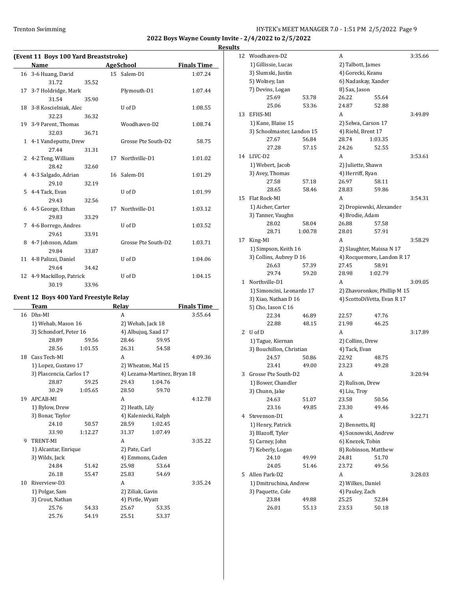**Results**

| (Event 11 Boys 100 Yard Breaststroke) |                           |       |    |                     |                    |  |  |  |
|---------------------------------------|---------------------------|-------|----|---------------------|--------------------|--|--|--|
|                                       | Name                      |       |    | <b>AgeSchool</b>    | <b>Finals Time</b> |  |  |  |
|                                       | 16 3-6 Huang, David       |       |    | 15 Salem-D1         | 1:07.24            |  |  |  |
|                                       | 31.72                     | 35.52 |    |                     |                    |  |  |  |
|                                       | 17 3-7 Holdridge, Mark    |       |    | Plymouth-D1         | 1:07.44            |  |  |  |
|                                       | 31.54                     | 35.90 |    |                     |                    |  |  |  |
|                                       | 18 3-8 Koscielniak, Alec  |       |    | U of D              | 1:08.55            |  |  |  |
|                                       | 32.23                     | 36.32 |    |                     |                    |  |  |  |
|                                       | 19 3-9 Parent, Thomas     |       |    | Woodhaven-D2        | 1:08.74            |  |  |  |
|                                       | 32.03                     | 36.71 |    |                     |                    |  |  |  |
|                                       | 1 4-1 Vandeputte, Drew    |       |    | Grosse Pte South-D2 | 58.75              |  |  |  |
|                                       | 27.44                     | 31.31 |    |                     |                    |  |  |  |
|                                       | 2 4-2 Teng, William       |       | 17 | Northville-D1       | 1:01.02            |  |  |  |
|                                       | 28.42                     | 32.60 |    |                     |                    |  |  |  |
|                                       | 4 4-3 Salgado, Adrian     |       |    | 16 Salem-D1         | 1:01.29            |  |  |  |
|                                       | 29.10                     | 32.19 |    |                     |                    |  |  |  |
| 5.                                    | 4-4 Tack, Evan            |       |    | U of D              | 1:01.99            |  |  |  |
|                                       | 29.43                     | 32.56 |    |                     |                    |  |  |  |
| 6                                     | 4-5 George, Ethan         |       | 17 | Northville-D1       | 1:03.12            |  |  |  |
|                                       | 29.83                     | 33.29 |    |                     |                    |  |  |  |
|                                       | 7 4-6 Borrego, Andres     |       |    | $U$ of $D$          | 1:03.52            |  |  |  |
|                                       | 29.61                     | 33.91 |    |                     |                    |  |  |  |
| 8                                     | 4-7 Johnson, Adam         |       |    | Grosse Pte South-D2 | 1:03.71            |  |  |  |
|                                       | 29.84                     | 33.87 |    |                     |                    |  |  |  |
|                                       | 11 4-8 Palizzi, Daniel    |       |    | U of D              | 1:04.06            |  |  |  |
|                                       | 29.64                     | 34.42 |    |                     |                    |  |  |  |
|                                       | 12 4-9 Mackillop, Patrick |       |    | U of D              | 1:04.15            |  |  |  |
|                                       | 30.19                     | 33.96 |    |                     |                    |  |  |  |

## **Event 12 Boys 400 Yard Freestyle Relay**

 $\overline{a}$ 

|    | Team                     |         | <b>Relay</b>         |                              | <b>Finals Time</b> |
|----|--------------------------|---------|----------------------|------------------------------|--------------------|
| 16 | Dhs-MI                   |         | A                    |                              | 3:55.64            |
|    | 1) Wehab, Mason 16       |         | 2) Wehab, Jack 18    |                              |                    |
|    | 3) Schondorf, Peter 16   |         | 4) Albujug, Saad 17  |                              |                    |
|    | 28.89                    | 59.56   | 28.46                | 59.95                        |                    |
|    | 28.56                    | 1:01.55 | 26.31                | 54.58                        |                    |
| 18 | Cass Tech-MI             |         | A                    |                              | 4:09.36            |
|    | 1) Lopez, Gustavo 17     |         | 2) Wheaton, Mal 15   |                              |                    |
|    | 3) Plascencia, Carlos 17 |         |                      | 4) Lezama-Martinez, Bryan 18 |                    |
|    | 28.87                    | 59.25   | 29.43                | 1:04.76                      |                    |
|    | 30.29                    | 1:05.65 | 28.50                | 59.70                        |                    |
| 19 | APCAB-MI                 |         | A                    |                              | 4:12.78            |
|    | 1) Bylow, Drew           |         | 2) Heath, Lily       |                              |                    |
|    | 3) Bonar, Taylor         |         | 4) Kaleniecki, Ralph |                              |                    |
|    | 24.10                    | 50.57   | 28.59                | 1:02.45                      |                    |
|    | 33.90                    | 1:12.27 | 31.37                | 1:07.49                      |                    |
| 9  | <b>TRENT-MI</b>          |         | A                    |                              | 3:35.22            |
|    | 1) Alcantar, Enrique     |         | 2) Pate, Carl        |                              |                    |
|    | 3) Wilds, Jack           |         | 4) Emmons, Caden     |                              |                    |
|    | 24.84                    | 51.42   | 25.98                | 53.64                        |                    |
|    | 26.18                    | 55.47   | 25.83                | 54.69                        |                    |
| 10 | Riverview-D3             |         | A                    |                              | 3:35.24            |
|    | 1) Polgar, Sam           |         | 2) Ziliak, Gavin     |                              |                    |
|    | 3) Crout, Nathan         |         | 4) Pirtle, Wyatt     |                              |                    |
|    | 25.76                    | 54.33   | 25.67                | 53.35                        |                    |
|    | 25.76                    | 54.19   | 25.51                | 53.37                        |                    |

| 12 | Woodhaven-D2               |         | A                   |                              | 3:35.66 |
|----|----------------------------|---------|---------------------|------------------------------|---------|
|    | 1) Gillissie, Lucas        |         | 2) Talbott, James   |                              |         |
|    | 3) Slumski, Justin         |         | 4) Gorecki, Keanu   |                              |         |
|    | 5) Wolney, Ian             |         |                     | 6) Nadaskay, Xander          |         |
|    | 7) Devins, Logan           |         | 8) Sax, Jason       |                              |         |
|    | 25.69                      | 53.78   | 26.22               | 55.64                        |         |
|    | 25.06                      | 53.36   | 24.87               | 52.88                        |         |
| 13 | EFHS-MI                    |         | A                   |                              | 3:49.89 |
|    | 1) Kane, Blaise 15         |         | 2) Selwa, Carson 17 |                              |         |
|    | 3) Schoolmaster, Landon 15 |         | 4) Riehl, Brent 17  |                              |         |
|    | 27.67                      | 56.84   | 28.74               | 1:03.35                      |         |
|    | 27.28                      | 57.15   | 24.26               | 52.55                        |         |
| 14 | LIVC-D2                    |         | A                   |                              | 3:53.61 |
|    | 1) Webert, Jacob           |         | 2) Juliette, Shawn  |                              |         |
|    | 3) Avey, Thomas            |         | 4) Herriff, Ryan    |                              |         |
|    | 27.58                      | 57.18   | 26.97               | 58.11                        |         |
|    | 28.65                      | 58.46   | 28.83               | 59.86                        |         |
| 15 | Flat Rock-MI               |         | A                   |                              | 3:54.31 |
|    | 1) Aicher, Carter          |         |                     | 2) Dropiewski, Alexander     |         |
|    | 3) Tanner, Vaughn          |         | 4) Brodie, Adam     |                              |         |
|    | 28.02                      | 58.04   | 26.88               | 57.58                        |         |
|    | 28.71                      | 1:00.78 | 28.01               | 57.91                        |         |
| 17 | King-MI                    |         | A                   |                              | 3:58.29 |
|    | 1) Simpson, Keith 16       |         |                     | 2) Slaughter, Maissa N 17    |         |
|    | 3) Collins, Aubrey D 16    |         |                     | 4) Rocquemore, Landon R 17   |         |
|    | 26.63                      | 57.39   | 27.45               | 58.91                        |         |
|    | 29.74                      | 59.20   | 28.98               | 1:02.79                      |         |
| 1  | Northville-D1              |         | A                   |                              | 3:09.05 |
|    | 1) Simoncini, Leonardo 17  |         |                     | 2) Zhavoronkov, Phillip M 15 |         |
|    | 3) Xiao, Nathan D 16       |         |                     | 4) ScottoDiVetta, Evan R 17  |         |
|    | 5) Cho, Iason C 16         |         |                     |                              |         |
|    | 22.34                      | 46.89   | 22.57               | 47.76                        |         |
|    | 22.88                      | 48.15   | 21.98               | 46.25                        |         |
| 2  | U of D                     |         | A                   |                              | 3:17.89 |
|    | 1) Tague, Kiernan          |         | 2) Collins, Drew    |                              |         |
|    | 3) Bouchillon, Christian   |         | 4) Tack, Evan       |                              |         |
|    | 24.57                      | 50.86   | 22.92               | 48.75                        |         |
|    | 23.41                      | 49.00   | 23.23               | 49.28                        |         |
| 3  | Grosse Pte South-D2        |         | A                   |                              | 3:20.94 |
|    | 1) Bower, Chandler         |         | 2) Rulison, Drew    |                              |         |
|    | 3) Chunn, Jake             |         | 4) Liu, Troy        |                              |         |
|    | 24.63                      | 51.07   | 23.58               | 50.56                        |         |
|    | 23.16                      | 49.85   | 23.30               | 49.46                        |         |
| 4  | Stevenson-D1               |         | A                   |                              | 3:22.71 |
|    | 1) Henry, Patrick          |         | 2) Bennetts, RJ     |                              |         |
|    | 3) Blazoff, Tyler          |         |                     | 4) Sosnowski, Andrew         |         |
|    | 5) Carney, John            |         | 6) Knezek, Tobin    |                              |         |
|    | 7) Keberly, Logan          |         |                     | 8) Robinson, Matthew         |         |
|    | 24.10                      | 49.99   | 24.81               | 51.70                        |         |
|    | 24.05                      | 51.46   | 23.72               | 49.56                        |         |
| 5  | Allen Park-D2              |         | A                   |                              | 3:28.03 |
|    | 1) Dmitruchina, Andrew     |         | 2) Wilkes, Daniel   |                              |         |
|    | 3) Paquette, Cole          |         | 4) Pauley, Zach     |                              |         |
|    | 23.84                      | 49.88   | 25.25               | 52.84                        |         |
|    | 26.01                      | 55.13   | 23.53               | 50.18                        |         |